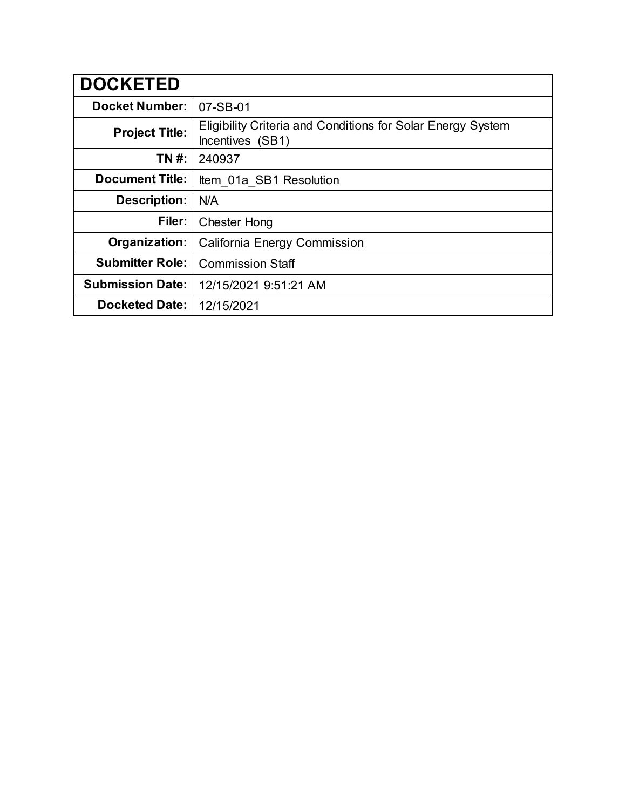| <b>DOCKETED</b>         |                                                                                 |
|-------------------------|---------------------------------------------------------------------------------|
| <b>Docket Number:</b>   | 07-SB-01                                                                        |
| <b>Project Title:</b>   | Eligibility Criteria and Conditions for Solar Energy System<br>Incentives (SB1) |
| TN #:                   | 240937                                                                          |
| <b>Document Title:</b>  | Item 01a SB1 Resolution                                                         |
| <b>Description:</b>     | N/A                                                                             |
| Filer:                  | <b>Chester Hong</b>                                                             |
| Organization:           | California Energy Commission                                                    |
| <b>Submitter Role:</b>  | <b>Commission Staff</b>                                                         |
| <b>Submission Date:</b> | 12/15/2021 9:51:21 AM                                                           |
| <b>Docketed Date:</b>   | 12/15/2021                                                                      |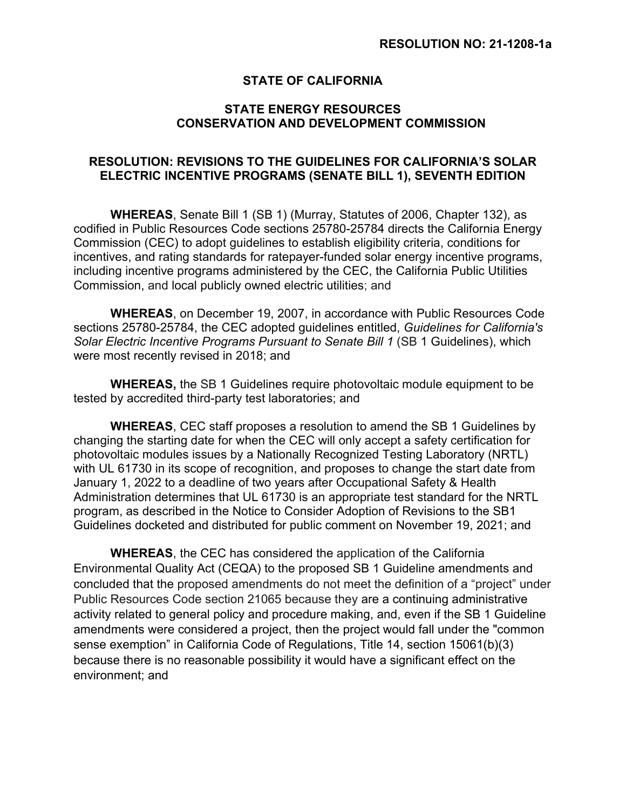## **STATE OF CALIFORNIA**

## **STATE ENERGY RESOURCES CONSERVATION AND DEVELOPMENT COMMISSION**

## **RESOLUTION: REVISIONS TO THE GUIDELINES FOR CALIFORNIA'S SOLAR ELECTRIC INCENTIVE PROGRAMS (SENATE BILL 1), SEVENTH EDITION**

**WHEREAS**, Senate Bill 1 (SB 1) (Murray, Statutes of 2006, Chapter 132), as codified in Public Resources Code sections 25780-25784 directs the California Energy Commission (CEC) to adopt guidelines to establish eligibility criteria, conditions for incentives, and rating standards for ratepayer-funded solar energy incentive programs, including incentive programs administered by the CEC, the California Public Utilities Commission, and local publicly owned electric utilities; and

**WHEREAS**, on December 19, 2007, in accordance with Public Resources Code sections 25780-25784, the CEC adopted guidelines entitled, *Guidelines for California's Solar Electric Incentive Programs Pursuant to Senate Bill 1* (SB 1 Guidelines), which were most recently revised in 2018; and

**WHEREAS,** the SB 1 Guidelines require photovoltaic module equipment to be tested by accredited third-party test laboratories; and

**WHEREAS**, CEC staff proposes a resolution to amend the SB 1 Guidelines by changing the starting date for when the CEC will only accept a safety certification for photovoltaic modules issues by a Nationally Recognized Testing Laboratory (NRTL) with UL 61730 in its scope of recognition, and proposes to change the start date from January 1, 2022 to a deadline of two years after Occupational Safety & Health Administration determines that UL 61730 is an appropriate test standard for the NRTL program, as described in the Notice to Consider Adoption of Revisions to the SB1 Guidelines docketed and distributed for public comment on November 19, 2021; and

**WHEREAS**, the CEC has considered the application of the California Environmental Quality Act (CEQA) to the proposed SB 1 Guideline amendments and concluded that the proposed amendments do not meet the definition of a "project" under Public Resources Code section 21065 because they are a continuing administrative activity related to general policy and procedure making, and, even if the SB 1 Guideline amendments were considered a project, then the project would fall under the "common sense exemption" in California Code of Regulations, Title 14, section 15061(b)(3) because there is no reasonable possibility it would have a significant effect on the environment; and